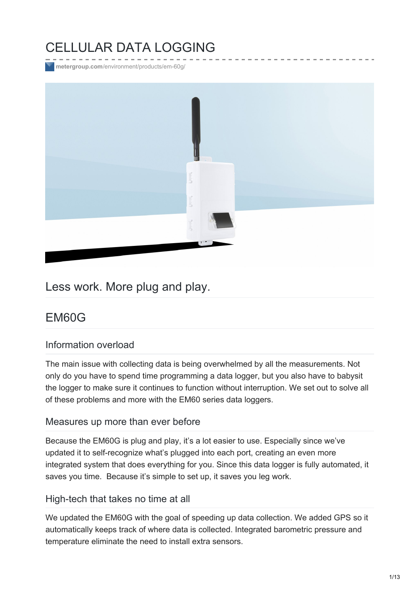# CELLULAR DATA LOGGING

**metergroup.com**[/environment/products/em-60g/](https://www.metergroup.com/environment/products/em-60g/)



## Less work. More plug and play.

## EM60G

#### Information overload

The main issue with collecting data is being overwhelmed by all the measurements. Not only do you have to spend time programming a data logger, but you also have to babysit the logger to make sure it continues to function without interruption. We set out to solve all of these problems and more with the EM60 series data loggers.

#### Measures up more than ever before

Because the EM60G is plug and play, it's a lot easier to use. Especially since we've updated it to self-recognize what's plugged into each port, creating an even more integrated system that does everything for you. Since this data logger is fully automated, it saves you time. Because it's simple to set up, it saves you leg work.

#### High-tech that takes no time at all

We updated the EM60G with the goal of speeding up data collection. We added GPS so it automatically keeps track of where data is collected. Integrated barometric pressure and temperature eliminate the need to install extra sensors.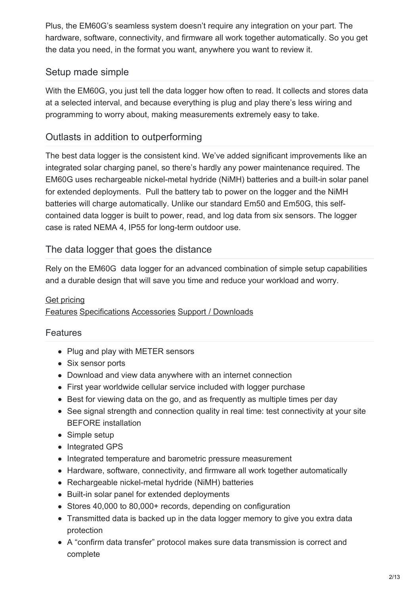Plus, the EM60G's seamless system doesn't require any integration on your part. The hardware, software, connectivity, and firmware all work together automatically. So you get the data you need, in the format you want, anywhere you want to review it.

### Setup made simple

With the EM60G, you just tell the data logger how often to read. It collects and stores data at a selected interval, and because everything is plug and play there's less wiring and programming to worry about, making measurements extremely easy to take.

### Outlasts in addition to outperforming

The best data logger is the consistent kind. We've added significant improvements like an integrated solar charging panel, so there's hardly any power maintenance required. The EM60G uses rechargeable nickel-metal hydride (NiMH) batteries and a built-in solar panel for extended deployments. Pull the battery tab to power on the logger and the NiMH batteries will charge automatically. Unlike our standard Em50 and Em50G, this selfcontained data logger is built to power, read, and log data from six sensors. The logger case is rated NEMA 4, IP55 for long-term outdoor use.

#### The data logger that goes the distance

Rely on the EM60G data logger for an advanced combination of simple setup capabilities and a durable design that will save you time and reduce your workload and worry.

#### Get [pricing](https://www.metergroup.com/request-a-quote/?prod=EM60G)

#### [Features](#page-1-0) [Specifications](#page-2-0) [Accessories](#page-4-0) Support / [Downloads](#page-8-0)

#### <span id="page-1-0"></span>Features

- Plug and play with METER sensors
- Six sensor ports
- Download and view data anywhere with an internet connection
- First year worldwide cellular service included with logger purchase
- Best for viewing data on the go, and as frequently as multiple times per day
- See signal strength and connection quality in real time: test connectivity at your site BEFORE installation
- Simple setup
- Integrated GPS
- Integrated temperature and barometric pressure measurement
- Hardware, software, connectivity, and firmware all work together automatically
- Rechargeable nickel-metal hydride (NiMH) batteries
- Built-in solar panel for extended deployments
- Stores 40,000 to 80,000+ records, depending on configuration
- Transmitted data is backed up in the data logger memory to give you extra data protection
- A "confirm data transfer" protocol makes sure data transmission is correct and complete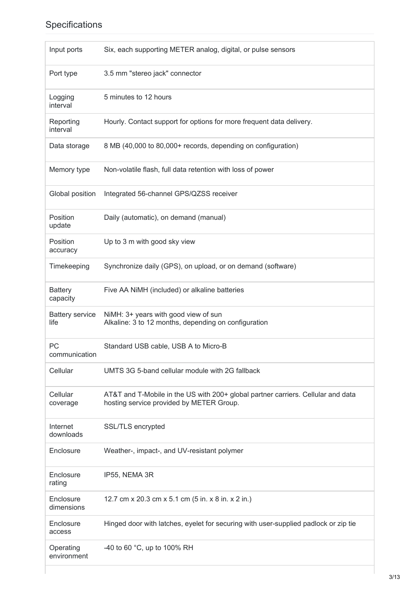## <span id="page-2-0"></span>Specifications

| Input ports                    | Six, each supporting METER analog, digital, or pulse sensors                                                                 |
|--------------------------------|------------------------------------------------------------------------------------------------------------------------------|
| Port type                      | 3.5 mm "stereo jack" connector                                                                                               |
| Logging<br>interval            | 5 minutes to 12 hours                                                                                                        |
| Reporting<br>interval          | Hourly. Contact support for options for more frequent data delivery.                                                         |
| Data storage                   | 8 MB (40,000 to 80,000+ records, depending on configuration)                                                                 |
| Memory type                    | Non-volatile flash, full data retention with loss of power                                                                   |
| Global position                | Integrated 56-channel GPS/QZSS receiver                                                                                      |
| Position<br>update             | Daily (automatic), on demand (manual)                                                                                        |
| Position<br>accuracy           | Up to 3 m with good sky view                                                                                                 |
| Timekeeping                    | Synchronize daily (GPS), on upload, or on demand (software)                                                                  |
| <b>Battery</b><br>capacity     | Five AA NiMH (included) or alkaline batteries                                                                                |
| <b>Battery service</b><br>life | NiMH: 3+ years with good view of sun<br>Alkaline: 3 to 12 months, depending on configuration                                 |
| PC<br>communication            | Standard USB cable, USB A to Micro-B                                                                                         |
| Cellular                       | UMTS 3G 5-band cellular module with 2G fallback                                                                              |
| Cellular<br>coverage           | AT&T and T-Mobile in the US with 200+ global partner carriers. Cellular and data<br>hosting service provided by METER Group. |
| Internet<br>downloads          | SSL/TLS encrypted                                                                                                            |
| Enclosure                      | Weather-, impact-, and UV-resistant polymer                                                                                  |
| Enclosure<br>rating            | IP55, NEMA 3R                                                                                                                |
| Enclosure<br>dimensions        | 12.7 cm x 20.3 cm x 5.1 cm (5 in. x 8 in. x 2 in.)                                                                           |
| Enclosure<br>access            | Hinged door with latches, eyelet for securing with user-supplied padlock or zip tie                                          |
| Operating<br>environment       | -40 to 60 °C, up to 100% RH                                                                                                  |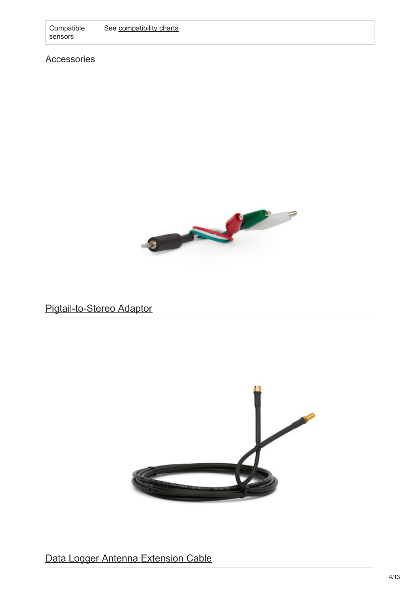Compatible sensors See [compatibility](https://www.metergroup.com/environment/articles/data-logger-compatibility-tables/) charts

Accessories



Pigtail-to-Stereo Adaptor



Data Logger Antenna Extension Cable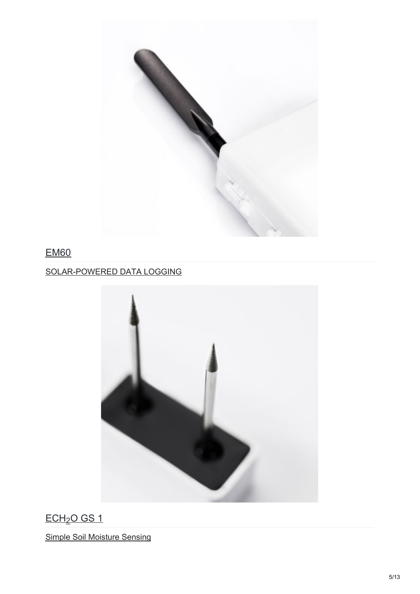<span id="page-4-0"></span>

## EM60

## SOLAR-POWERED DATA LOGGING



<u>ECH2O GS 1</u>

Simple Soil Moisture Sensing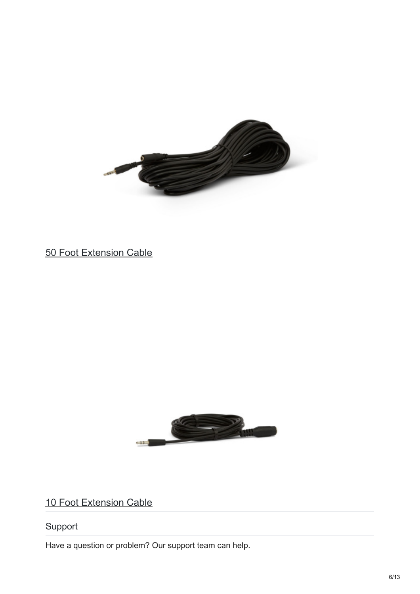

50 Foot Extension Cable



10 Foot Extension Cable

## Support

Have a question or problem? Our support team can help.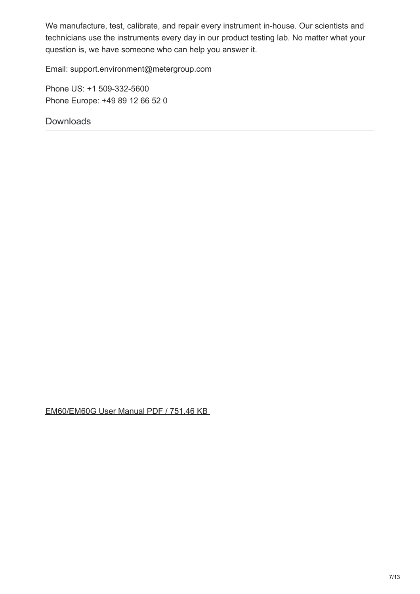We manufacture, test, calibrate, and repair every instrument in-house. Our scientists and technicians use the instruments every day in our product testing lab. No matter what your question is, we have someone who can help you answer it.

Email: support.environment@metergroup.com

Phone US: +1 509-332-5600 Phone Europe: +49 89 12 66 52 0

Downloads

[EM60/EM60G](http://library.metergroup.com/Manuals/20623_EM60_Manual_Web.pdf) User Manual PDF / 751.46 KB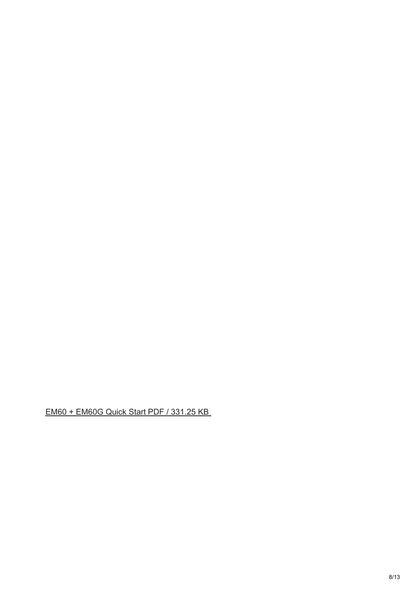EM60 + [EM60G](http://library.metergroup.com/Quick Start Guides/18210_EM60_Web.pdf) Quick Start PDF / 331.25 KB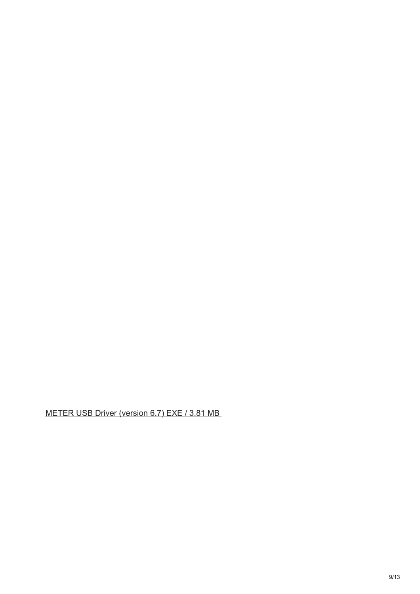<span id="page-8-0"></span>METER USB Driver [\(version](http://software.metergroup.com/Decagon_USB_Driver_Windows_6.7.exe) 6.7) EXE / 3.81 MB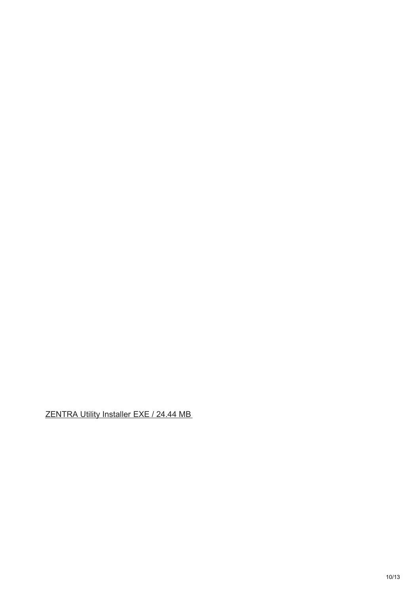[ZENTRA](http://software.metergroup.com/ZENTRAUtilityInstaller.exe) Utility Installer EXE / 24.44 MB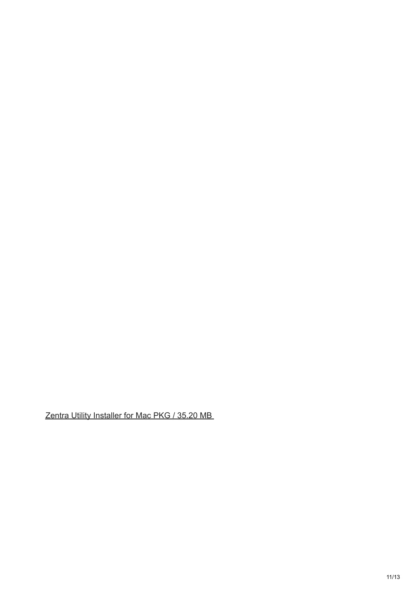Zentra Utility [Installer](http://software.metergroup.com/ZENTRAUtilityMac.pkg) for Mac PKG / 35.20 MB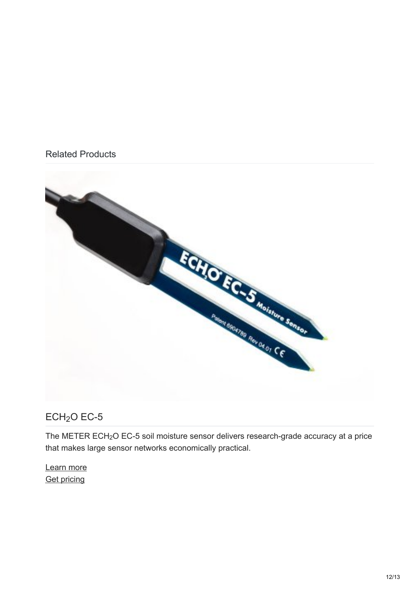#### Related Products



### $ECH<sub>2</sub>O$  [EC-5](https://www.metergroup.com/environment/products/ec-5-soil-moisture-sensor/)

The METER ECH<sub>2</sub>O EC-5 soil moisture sensor delivers research-grade accuracy at a price that makes large sensor networks economically practical.

[Learn](https://www.metergroup.com/environment/products/ec-5-soil-moisture-sensor/) more **Get [pricing](https://www.metergroup.com/request-a-quote/?prod=ECH%3Csub%3E2%3C%2Fsub%3EO EC-5)**